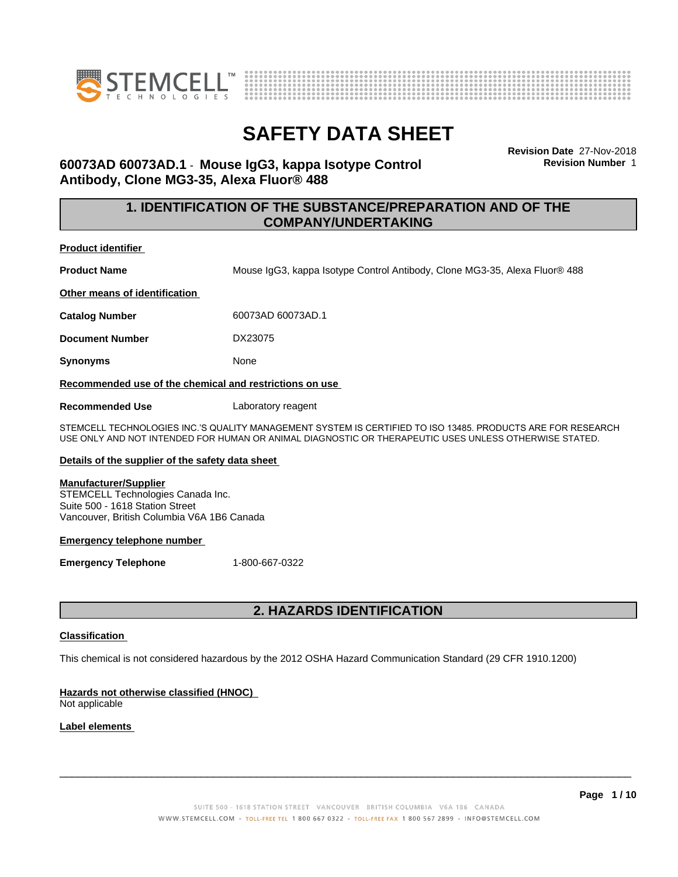



**Revision Date** 27-Nov-2018 **Revision Number** 1

# **60073AD 60073AD.1** - **Mouse IgG3, kappa Isotype Control Antibody, Clone MG3-35, Alexa Fluor® 488**

# **1. IDENTIFICATION OF THE SUBSTANCE/PREPARATION AND OF THE COMPANY/UNDERTAKING**

**Product identifier**

**Product Name** Mouse IgG3, kappa Isotype Control Antibody, Clone MG3-35, Alexa Fluor® 488

**Other means of identification**

**Catalog Number** 60073AD 60073AD.1

**Document Number** DX23075

**Synonyms** None

**Recommended use of the chemical and restrictions on use**

**Recommended Use** Laboratory reagent

STEMCELL TECHNOLOGIES INC.'S QUALITY MANAGEMENT SYSTEM IS CERTIFIED TO ISO 13485. PRODUCTS ARE FOR RESEARCH USE ONLY AND NOT INTENDED FOR HUMAN OR ANIMAL DIAGNOSTIC OR THERAPEUTIC USES UNLESS OTHERWISE STATED.

### **Details of the supplier of the safety data sheet**

#### **Manufacturer/Supplier**

STEMCELL Technologies Canada Inc. Suite 500 - 1618 Station Street Vancouver, British Columbia V6A 1B6 Canada

#### **Emergency telephone number**

**Emergency Telephone** 1-800-667-0322

# **2. HAZARDS IDENTIFICATION**

### **Classification**

This chemical is not considered hazardous by the 2012 OSHA Hazard Communication Standard (29 CFR 1910.1200)

### **Hazards not otherwise classified (HNOC)**

Not applicable

### **Label elements**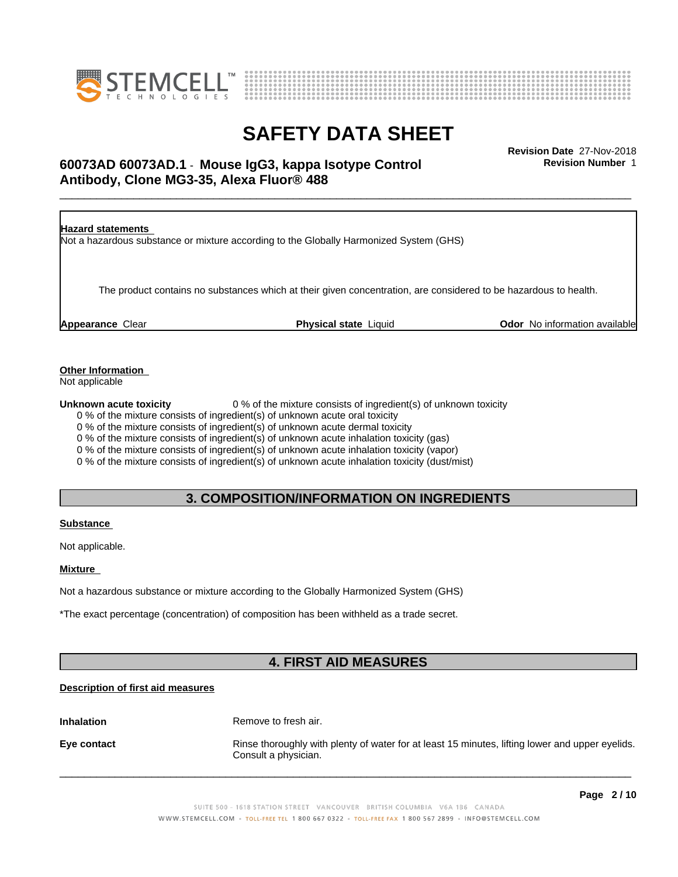



# \_\_\_\_\_\_\_\_\_\_\_\_\_\_\_\_\_\_\_\_\_\_\_\_\_\_\_\_\_\_\_\_\_\_\_\_\_\_\_\_\_\_\_\_\_\_\_\_\_\_\_\_\_\_\_\_\_\_\_\_\_\_\_\_\_\_\_\_\_\_\_\_\_\_\_\_\_\_\_\_\_\_\_\_\_\_\_\_\_\_\_\_\_ **Revision Date** 27-Nov-2018 **60073AD 60073AD.1** - **Mouse IgG3, kappa Isotype Control Antibody, Clone MG3-35, Alexa Fluor® 488**

**Revision Number** 1



**Other Information**

Not applicable

**Unknown acute toxicity** 0 % of the mixture consists of ingredient(s) of unknown toxicity

0 % of the mixture consists of ingredient(s) of unknown acute oral toxicity

0 % of the mixture consists of ingredient(s) of unknown acute dermal toxicity

0 % of the mixture consists of ingredient(s) of unknown acute inhalation toxicity (gas)

0 % of the mixture consists of ingredient(s) of unknown acute inhalation toxicity (vapor)

0 % of the mixture consists of ingredient(s) of unknown acute inhalation toxicity (dust/mist)

# **3. COMPOSITION/INFORMATION ON INGREDIENTS**

### **Substance**

Not applicable.

**Mixture**

Not a hazardous substance or mixture according to the Globally Harmonized System (GHS)

\*The exact percentage (concentration) of composition has been withheld as a trade secret.

# **4. FIRST AID MEASURES**

### **Description of first aid measures**

**Inhalation** Remove to fresh air.

**Eye contact Rinse thoroughly with plenty of water for at least 15 minutes, lifting lower and upper eyelids.** Consult a physician.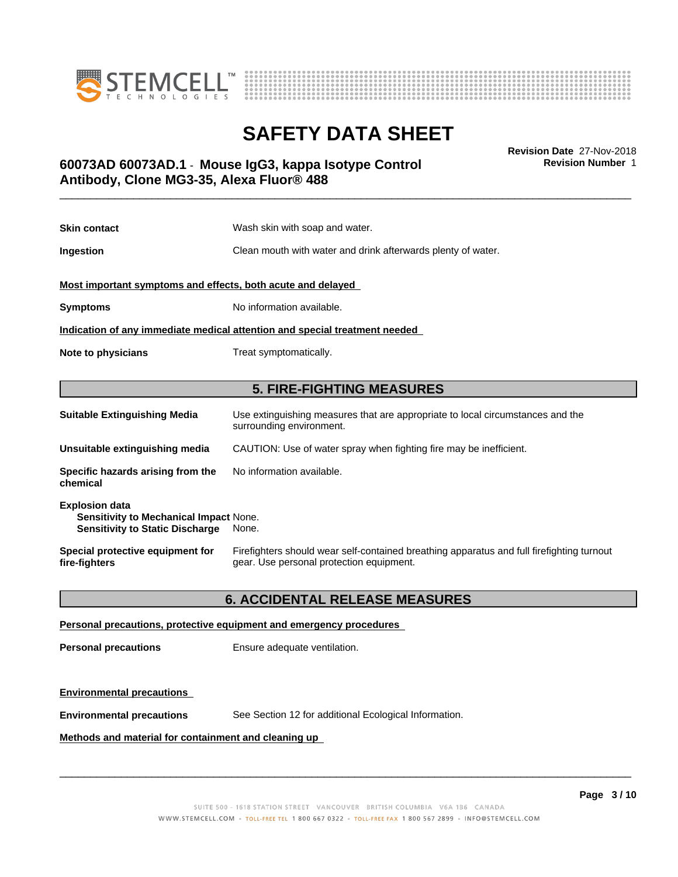



\_\_\_\_\_\_\_\_\_\_\_\_\_\_\_\_\_\_\_\_\_\_\_\_\_\_\_\_\_\_\_\_\_\_\_\_\_\_\_\_\_\_\_\_\_\_\_\_\_\_\_\_\_\_\_\_\_\_\_\_\_\_\_\_\_\_\_\_\_\_\_\_\_\_\_\_\_\_\_\_\_\_\_\_\_\_\_\_\_\_\_\_\_ **Revision Date** 27-Nov-2018 **60073AD 60073AD.1** - **Mouse IgG3, kappa Isotype Control Antibody, Clone MG3-35, Alexa Fluor® 488**

**Skin contact** Wash skin with soap and water. **Ingestion Clean mouth with water and drink afterwards plenty of water. Most important symptoms and effects, both acute and delayed Symptoms** No information available. **Indication of any immediate medical attention and special treatment needed Note to physicians** Treat symptomatically. **5. FIRE-FIGHTING MEASURES Suitable Extinguishing Media** Use extinguishing measures that are appropriate to local circumstances and the surrounding environment. **Unsuitable extinguishing media** CAUTION: Use of water spray when fighting fire may be inefficient. **Specific hazards arising from the** No information available.

| <b>Explosion data</b><br><b>Sensitivity to Mechanical Impact None.</b><br><b>Sensitivity to Static Discharge</b> | None.                                                                                     |
|------------------------------------------------------------------------------------------------------------------|-------------------------------------------------------------------------------------------|
| Special protective equipment for                                                                                 | Firefighters should wear self-contained breathing apparatus and full firefighting turnout |
| fire-fighters                                                                                                    | gear. Use personal protection equipment.                                                  |

### **6. ACCIDENTAL RELEASE MEASURES**

#### **Personal precautions, protective equipment and emergency procedures**

**Personal precautions** Ensure adequate ventilation.

### **Environmental precautions**

**chemical**

**Environmental precautions** See Section 12 for additional Ecological Information.

**Methods and material for containment and cleaning up**

 $\overline{\phantom{a}}$  ,  $\overline{\phantom{a}}$  ,  $\overline{\phantom{a}}$  ,  $\overline{\phantom{a}}$  ,  $\overline{\phantom{a}}$  ,  $\overline{\phantom{a}}$  ,  $\overline{\phantom{a}}$  ,  $\overline{\phantom{a}}$  ,  $\overline{\phantom{a}}$  ,  $\overline{\phantom{a}}$  ,  $\overline{\phantom{a}}$  ,  $\overline{\phantom{a}}$  ,  $\overline{\phantom{a}}$  ,  $\overline{\phantom{a}}$  ,  $\overline{\phantom{a}}$  ,  $\overline{\phantom{a}}$ 

**Revision Number** 1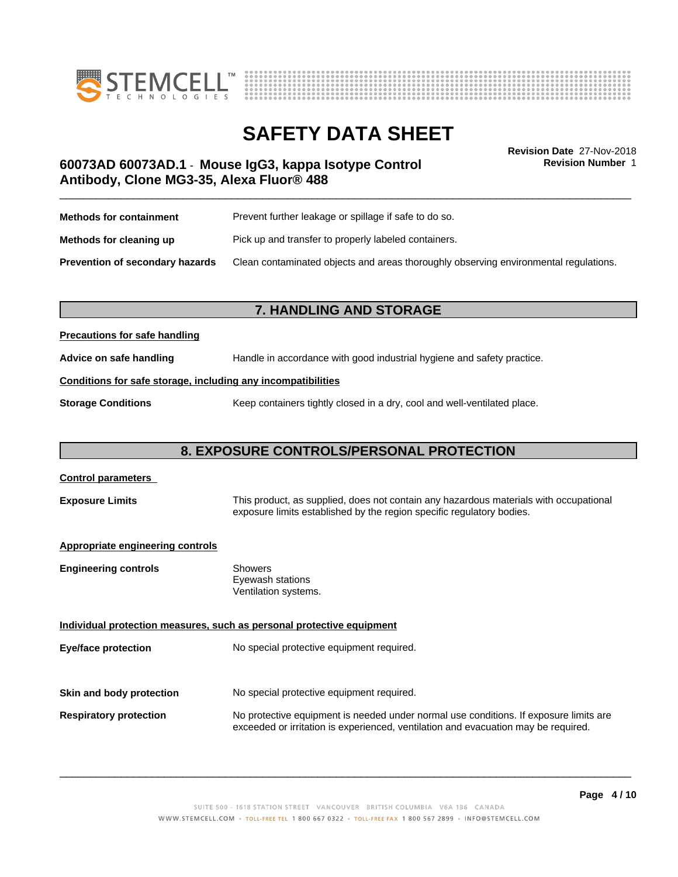



**Revision Number** 1

# \_\_\_\_\_\_\_\_\_\_\_\_\_\_\_\_\_\_\_\_\_\_\_\_\_\_\_\_\_\_\_\_\_\_\_\_\_\_\_\_\_\_\_\_\_\_\_\_\_\_\_\_\_\_\_\_\_\_\_\_\_\_\_\_\_\_\_\_\_\_\_\_\_\_\_\_\_\_\_\_\_\_\_\_\_\_\_\_\_\_\_\_\_ **Revision Date** 27-Nov-2018 **60073AD 60073AD.1** - **Mouse IgG3, kappa Isotype Control Antibody, Clone MG3-35, Alexa Fluor® 488**

| <b>Methods for containment</b>         | Prevent further leakage or spillage if safe to do so.                                |
|----------------------------------------|--------------------------------------------------------------------------------------|
| Methods for cleaning up                | Pick up and transfer to properly labeled containers.                                 |
| <b>Prevention of secondary hazards</b> | Clean contaminated objects and areas thoroughly observing environmental regulations. |

# **7. HANDLING AND STORAGE**

### **Precautions for safe handling**

**Advice on safe handling** Handle in accordance with good industrial hygiene and safety practice.

### **Conditions for safe storage, including any incompatibilities**

**Storage Conditions** Keep containers tightly closed in a dry, cool and well-ventilated place.

# **8. EXPOSURE CONTROLS/PERSONAL PROTECTION**

| <b>Control parameters</b>               |                                                                                                                                                                             |  |
|-----------------------------------------|-----------------------------------------------------------------------------------------------------------------------------------------------------------------------------|--|
| <b>Exposure Limits</b>                  | This product, as supplied, does not contain any hazardous materials with occupational<br>exposure limits established by the region specific regulatory bodies.              |  |
| <b>Appropriate engineering controls</b> |                                                                                                                                                                             |  |
| <b>Engineering controls</b>             | Showers<br>Eyewash stations<br>Ventilation systems.                                                                                                                         |  |
|                                         | Individual protection measures, such as personal protective equipment                                                                                                       |  |
| Eye/face protection                     | No special protective equipment required.                                                                                                                                   |  |
| Skin and body protection                | No special protective equipment required.                                                                                                                                   |  |
|                                         |                                                                                                                                                                             |  |
| <b>Respiratory protection</b>           | No protective equipment is needed under normal use conditions. If exposure limits are<br>exceeded or irritation is experienced, ventilation and evacuation may be required. |  |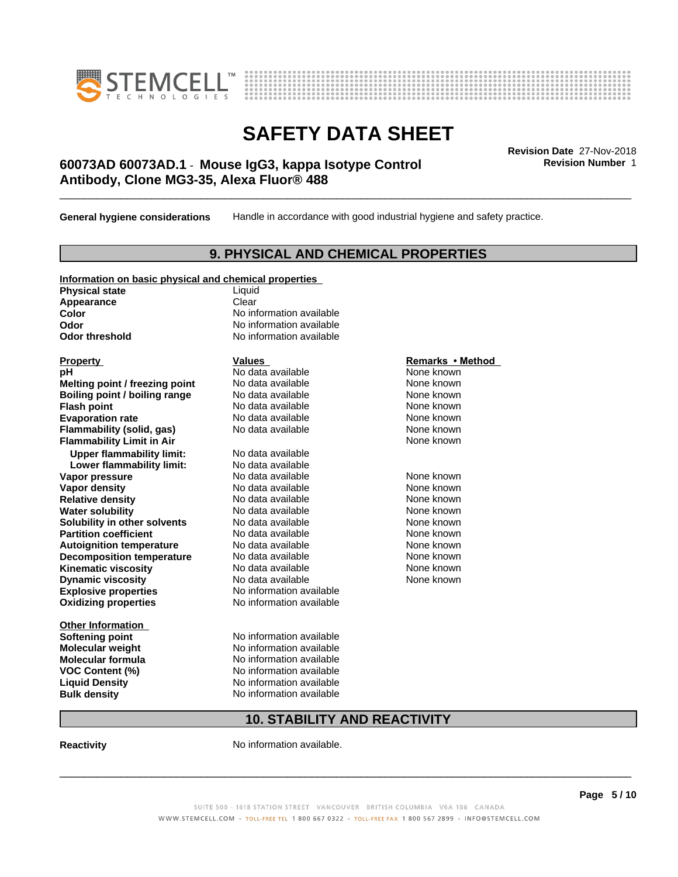



# \_\_\_\_\_\_\_\_\_\_\_\_\_\_\_\_\_\_\_\_\_\_\_\_\_\_\_\_\_\_\_\_\_\_\_\_\_\_\_\_\_\_\_\_\_\_\_\_\_\_\_\_\_\_\_\_\_\_\_\_\_\_\_\_\_\_\_\_\_\_\_\_\_\_\_\_\_\_\_\_\_\_\_\_\_\_\_\_\_\_\_\_\_ **Revision Date** 27-Nov-2018 **60073AD 60073AD.1** - **Mouse IgG3, kappa Isotype Control Antibody, Clone MG3-35, Alexa Fluor® 488**

**General hygiene considerations** Handle in accordance with good industrial hygiene and safety practice.

## **9. PHYSICAL AND CHEMICAL PROPERTIES**

| Information on basic physical and chemical properties |  |  |
|-------------------------------------------------------|--|--|
|                                                       |  |  |

**Physical state** Liquid Appearance **Clear** 

**Explosive properties**<br> **Oxidizing properties**<br>
No information available **Oxidizing properties Property Remarks •Method Property Remarks •Method pH** No data available None known<br> **Melting point / freezing point** No data available None known **Melting point / freezing point** No data available None known<br> **Boiling point / boiling range** No data available None known **Boiling point / boiling range Flash point No data available None known Evaporation rate Cone Cone Access Mode to Access 10 and 7 and 7 and 7 and 7 and 7 and 7 and 7 and 7 and 7 and 7 and 7 and 7 and 7 and 7 and 7 and 7 and 7 and 7 and 7 and 7 and 7 and 7 and 7 and 7 and 7 and 7 and 7 and 7 Flammability (solid, gas)** No data available None known **Flammability Limit in Air None known None known Upper flammability limit:** No data available **Lower flammability limit:** No data available **Vapor pressure No data available None known Vapor density**<br> **Relative density**<br>
No data available None Known<br>
None known **Relative density No data available and the Shown None known**<br> **Water solubility No data available None known None known Water solubility Solubility in other solvents** No data available **None known**<br> **Partition coefficient** No data available None known<br>
None known **Partition coefficient**<br> **Autoignition temperature**<br>
No data available None None known<br>
None known **Autoignition temperature No data available None known**<br> **Decomposition temperature** No data available **None known**<br>
None known **Decomposition temperature** No data available<br> **Kinematic viscosity** No data available **Kinematic viscosity No data available None known**<br> **Notata available None known**<br>
Notata available **None known Dynamic viscosity No data available None known** 

**Other Information Softening point** No information available **VOC** Content (%)

**Color** No information available **Odor** No information available **Odor threshold** No information available

**Molecular weight** No information available **Molecular formula No information available**<br>**VOC Content (%)** No information available **Liquid Density** No information available **Bulk density** No information available

# **10. STABILITY AND REACTIVITY**

**Reactivity No information available.** 

SUITE 500 - 1618 STATION STREET VANCOUVER BRITISH COLUMBIA V6A 1B6 CANADA WWW.STEMCELL.COM • TOLL-FREE TEL 1 800 667 0322 • TOLL-FREE FAX 1 800 567 2899 • INFO@STEMCELL.COM

 $\overline{\phantom{a}}$  ,  $\overline{\phantom{a}}$  ,  $\overline{\phantom{a}}$  ,  $\overline{\phantom{a}}$  ,  $\overline{\phantom{a}}$  ,  $\overline{\phantom{a}}$  ,  $\overline{\phantom{a}}$  ,  $\overline{\phantom{a}}$  ,  $\overline{\phantom{a}}$  ,  $\overline{\phantom{a}}$  ,  $\overline{\phantom{a}}$  ,  $\overline{\phantom{a}}$  ,  $\overline{\phantom{a}}$  ,  $\overline{\phantom{a}}$  ,  $\overline{\phantom{a}}$  ,  $\overline{\phantom{a}}$ 

**Revision Number** 1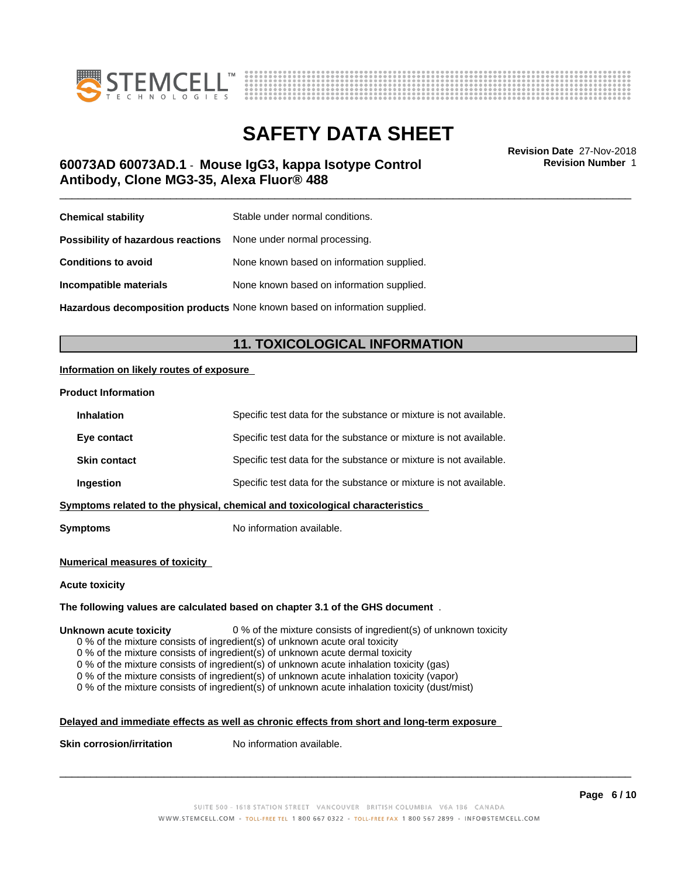



# \_\_\_\_\_\_\_\_\_\_\_\_\_\_\_\_\_\_\_\_\_\_\_\_\_\_\_\_\_\_\_\_\_\_\_\_\_\_\_\_\_\_\_\_\_\_\_\_\_\_\_\_\_\_\_\_\_\_\_\_\_\_\_\_\_\_\_\_\_\_\_\_\_\_\_\_\_\_\_\_\_\_\_\_\_\_\_\_\_\_\_\_\_ **Revision Date** 27-Nov-2018 **60073AD 60073AD.1** - **Mouse IgG3, kappa Isotype Control Antibody, Clone MG3-35, Alexa Fluor® 488**

**Revision Number** 1

| <b>Chemical stability</b>                                               | Stable under normal conditions.           |
|-------------------------------------------------------------------------|-------------------------------------------|
| <b>Possibility of hazardous reactions</b> None under normal processing. |                                           |
| <b>Conditions to avoid</b>                                              | None known based on information supplied. |
| Incompatible materials                                                  | None known based on information supplied. |
|                                                                         |                                           |

**Hazardous decomposition products** None known based on information supplied.

# **11. TOXICOLOGICAL INFORMATION**

### **Information on likely routes of exposure**

#### **Product Information**

| <b>Inhalation</b>                                                            | Specific test data for the substance or mixture is not available. |  |
|------------------------------------------------------------------------------|-------------------------------------------------------------------|--|
| Eye contact                                                                  | Specific test data for the substance or mixture is not available. |  |
| <b>Skin contact</b>                                                          | Specific test data for the substance or mixture is not available. |  |
| Ingestion                                                                    | Specific test data for the substance or mixture is not available. |  |
| Symptoms related to the physical, chemical and toxicological characteristics |                                                                   |  |
|                                                                              |                                                                   |  |

**Symptoms** No information available.

#### **Numerical measures of toxicity**

#### **Acute toxicity**

#### **The following values are calculated based on chapter 3.1 of the GHS document** .

#### **Unknown acute toxicity** 0 % of the mixture consists of ingredient(s) of unknown toxicity

0 % of the mixture consists of ingredient(s) of unknown acute oral toxicity

0 % of the mixture consists of ingredient(s) of unknown acute dermal toxicity

0 % of the mixture consists of ingredient(s) of unknown acute inhalation toxicity (gas)

0 % of the mixture consists of ingredient(s) of unknown acute inhalation toxicity (vapor)

0 % of the mixture consists of ingredient(s) of unknown acute inhalation toxicity (dust/mist)

### **Delayed and immediate effects as well as chronic effects from short and long-term exposure**

**Skin corrosion/irritation** No information available.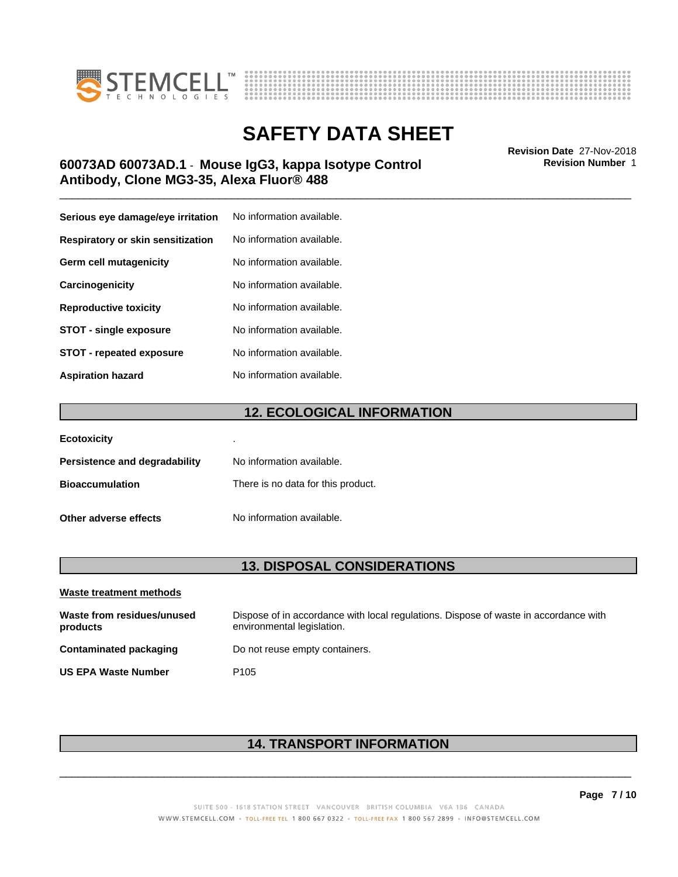



# \_\_\_\_\_\_\_\_\_\_\_\_\_\_\_\_\_\_\_\_\_\_\_\_\_\_\_\_\_\_\_\_\_\_\_\_\_\_\_\_\_\_\_\_\_\_\_\_\_\_\_\_\_\_\_\_\_\_\_\_\_\_\_\_\_\_\_\_\_\_\_\_\_\_\_\_\_\_\_\_\_\_\_\_\_\_\_\_\_\_\_\_\_ **Revision Date** 27-Nov-2018 **60073AD 60073AD.1** - **Mouse IgG3, kappa Isotype Control Antibody, Clone MG3-35, Alexa Fluor® 488**

| Serious eye damage/eye irritation | No information available. |
|-----------------------------------|---------------------------|
| Respiratory or skin sensitization | No information available. |
| Germ cell mutagenicity            | No information available. |
| Carcinogenicity                   | No information available. |
| <b>Reproductive toxicity</b>      | No information available. |
| <b>STOT - single exposure</b>     | No information available. |
| <b>STOT - repeated exposure</b>   | No information available. |
| <b>Aspiration hazard</b>          | No information available. |

# **12. ECOLOGICAL INFORMATION**

| <b>Ecotoxicity</b>            | ٠                                  |
|-------------------------------|------------------------------------|
| Persistence and degradability | No information available.          |
| <b>Bioaccumulation</b>        | There is no data for this product. |
| Other adverse effects         | No information available.          |

# **13. DISPOSAL CONSIDERATIONS**

| Waste treatment methods                |                                                                                                                    |
|----------------------------------------|--------------------------------------------------------------------------------------------------------------------|
| Waste from residues/unused<br>products | Dispose of in accordance with local regulations. Dispose of waste in accordance with<br>environmental legislation. |
| Contaminated packaging                 | Do not reuse empty containers.                                                                                     |
| <b>US EPA Waste Number</b>             | P <sub>105</sub>                                                                                                   |

# **14. TRANSPORT INFORMATION**

 $\overline{\phantom{a}}$  ,  $\overline{\phantom{a}}$  ,  $\overline{\phantom{a}}$  ,  $\overline{\phantom{a}}$  ,  $\overline{\phantom{a}}$  ,  $\overline{\phantom{a}}$  ,  $\overline{\phantom{a}}$  ,  $\overline{\phantom{a}}$  ,  $\overline{\phantom{a}}$  ,  $\overline{\phantom{a}}$  ,  $\overline{\phantom{a}}$  ,  $\overline{\phantom{a}}$  ,  $\overline{\phantom{a}}$  ,  $\overline{\phantom{a}}$  ,  $\overline{\phantom{a}}$  ,  $\overline{\phantom{a}}$ 

**Revision Number** 1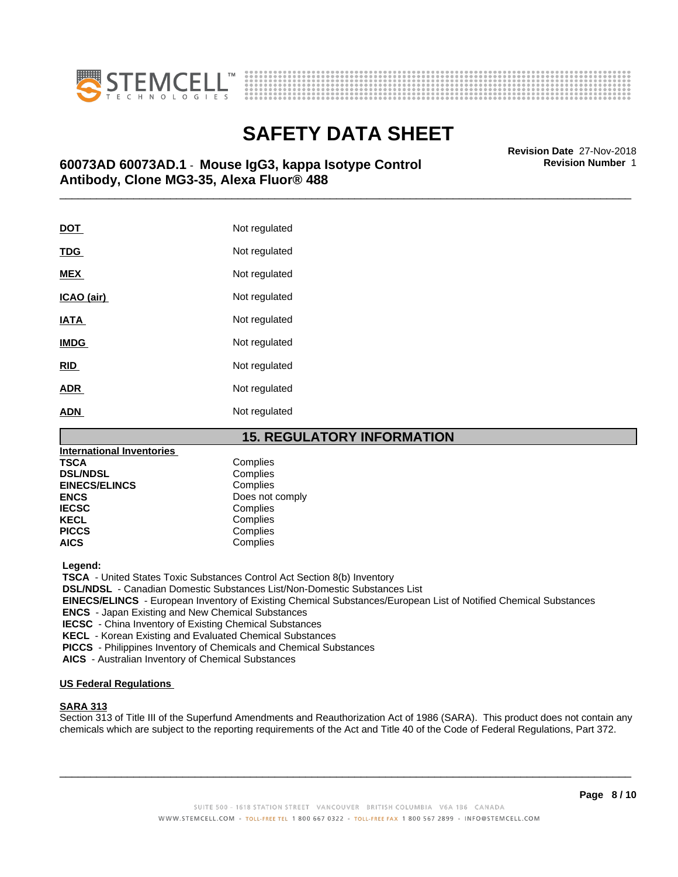



# \_\_\_\_\_\_\_\_\_\_\_\_\_\_\_\_\_\_\_\_\_\_\_\_\_\_\_\_\_\_\_\_\_\_\_\_\_\_\_\_\_\_\_\_\_\_\_\_\_\_\_\_\_\_\_\_\_\_\_\_\_\_\_\_\_\_\_\_\_\_\_\_\_\_\_\_\_\_\_\_\_\_\_\_\_\_\_\_\_\_\_\_\_ **Revision Date** 27-Nov-2018 **60073AD 60073AD.1** - **Mouse IgG3, kappa Isotype Control Antibody, Clone MG3-35, Alexa Fluor® 488**

| <b>DOT</b>  | Not regulated |
|-------------|---------------|
| <u>TDG</u>  | Not regulated |
| <b>MEX</b>  | Not regulated |
| ICAO (air)  | Not regulated |
| <b>IATA</b> | Not regulated |
| <b>IMDG</b> | Not regulated |
| RID         | Not regulated |
| <u>ADR</u>  | Not regulated |
| <b>ADN</b>  | Not regulated |

## **15. REGULATORY INFORMATION**

| International Inventories |                 |
|---------------------------|-----------------|
| TSCA                      | Complies        |
| <b>DSL/NDSL</b>           | Complies        |
| <b>EINECS/ELINCS</b>      | Complies        |
| ENCS                      | Does not comply |
| <b>IECSC</b>              | Complies        |
| KECL                      | Complies        |
| <b>PICCS</b>              | Complies        |
| AICS                      | Complies        |
|                           |                 |

 **Legend:**

 **TSCA** - United States Toxic Substances Control Act Section 8(b) Inventory

 **DSL/NDSL** - Canadian Domestic Substances List/Non-Domestic Substances List

 **EINECS/ELINCS** - European Inventory of Existing Chemical Substances/European List of Notified Chemical Substances

 **ENCS** - Japan Existing and New Chemical Substances

 **IECSC** - China Inventory of Existing Chemical Substances

 **KECL** - Korean Existing and Evaluated Chemical Substances

 **PICCS** - Philippines Inventory of Chemicals and Chemical Substances

 **AICS** - Australian Inventory of Chemical Substances

### **US Federal Regulations**

### **SARA 313**

Section 313 of Title III of the Superfund Amendments and Reauthorization Act of 1986 (SARA). This product does not contain any chemicals which are subject to the reporting requirements of the Act and Title 40 of the Code of Federal Regulations, Part 372.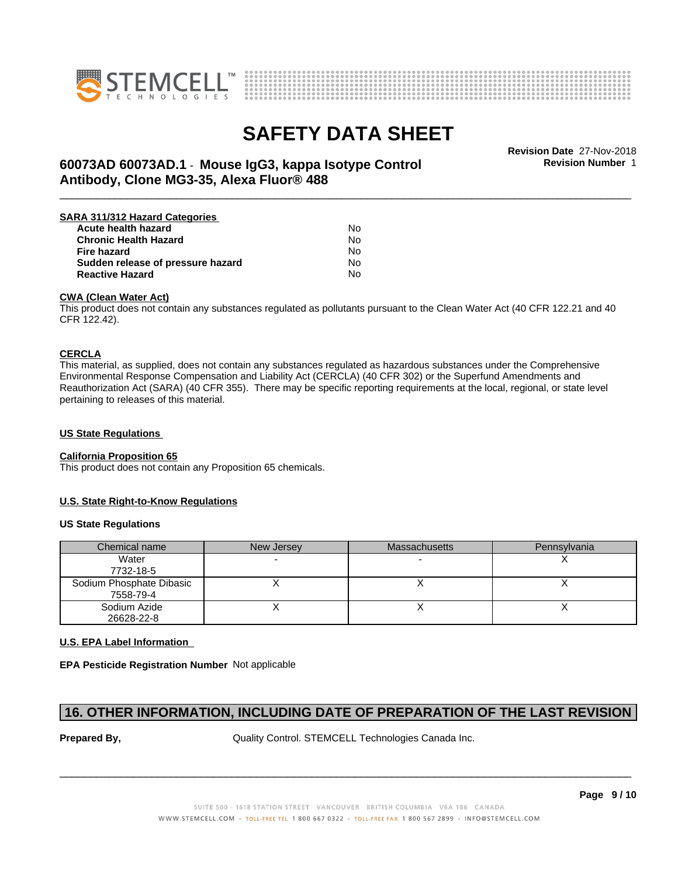



**Revision Number** 1

# \_\_\_\_\_\_\_\_\_\_\_\_\_\_\_\_\_\_\_\_\_\_\_\_\_\_\_\_\_\_\_\_\_\_\_\_\_\_\_\_\_\_\_\_\_\_\_\_\_\_\_\_\_\_\_\_\_\_\_\_\_\_\_\_\_\_\_\_\_\_\_\_\_\_\_\_\_\_\_\_\_\_\_\_\_\_\_\_\_\_\_\_\_ **Revision Date** 27-Nov-2018 **60073AD 60073AD.1** - **Mouse IgG3, kappa Isotype Control Antibody, Clone MG3-35, Alexa Fluor® 488**

| SARA 311/312 Hazard Categories    |    |  |
|-----------------------------------|----|--|
| Acute health hazard               | N٥ |  |
| <b>Chronic Health Hazard</b>      | No |  |
| <b>Fire hazard</b>                | No |  |
| Sudden release of pressure hazard | N٥ |  |
| <b>Reactive Hazard</b>            | N٥ |  |

#### **CWA (Clean WaterAct)**

This product does not contain any substances regulated as pollutants pursuant to the Clean Water Act (40 CFR 122.21 and 40 CFR 122.42).

#### **CERCLA**

This material, as supplied, does not contain any substances regulated as hazardous substances under the Comprehensive Environmental Response Compensation and Liability Act (CERCLA) (40 CFR 302) or the Superfund Amendments and Reauthorization Act (SARA) (40 CFR 355). There may be specific reporting requirements at the local, regional, or state level pertaining to releases of this material.

### **US State Regulations**

#### **California Proposition 65**

This product does not contain any Proposition 65 chemicals.

### **U.S. State Right-to-Know Regulations**

#### **US State Regulations**

| Chemical name                         | New Jersey | <b>Massachusetts</b> | Pennsylvania |
|---------------------------------------|------------|----------------------|--------------|
| Water<br>7732-18-5                    |            |                      |              |
| Sodium Phosphate Dibasic<br>7558-79-4 |            |                      |              |
| Sodium Azide<br>26628-22-8            |            |                      |              |

### **U.S. EPA Label Information**

**EPA Pesticide Registration Number** Not applicable

# **16. OTHER INFORMATION, INCLUDING DATE OF PREPARATION OF THE LAST REVISION**

**Prepared By, State Control. STEMCELL Technologies Canada Inc.**